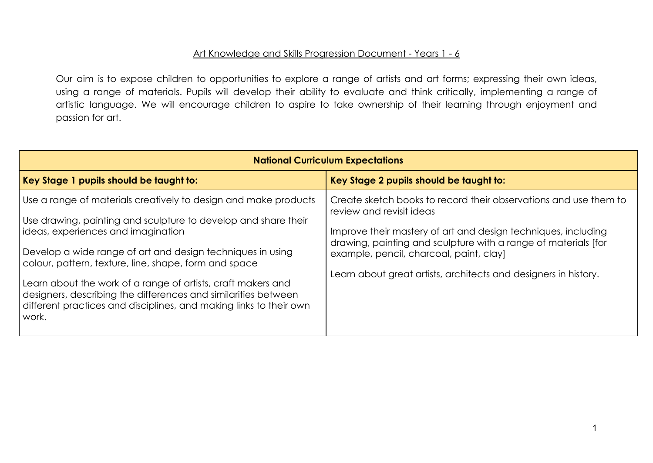## Art Knowledge and Skills Progression Document - Years 1 - 6

Our aim is to expose children to opportunities to explore a range of artists and art forms; expressing their own ideas, using a range of materials. Pupils will develop their ability to evaluate and think critically, implementing a range of artistic language. We will encourage children to aspire to take ownership of their learning through enjoyment and passion for art.

| <b>National Curriculum Expectations</b>                                                                                                                                                                                                                                                                                                                                                                                                                                                                         |                                                                                                                                                                                                                                                                                                                                               |  |  |  |  |  |  |  |
|-----------------------------------------------------------------------------------------------------------------------------------------------------------------------------------------------------------------------------------------------------------------------------------------------------------------------------------------------------------------------------------------------------------------------------------------------------------------------------------------------------------------|-----------------------------------------------------------------------------------------------------------------------------------------------------------------------------------------------------------------------------------------------------------------------------------------------------------------------------------------------|--|--|--|--|--|--|--|
| Key Stage 1 pupils should be taught to:                                                                                                                                                                                                                                                                                                                                                                                                                                                                         | Key Stage 2 pupils should be taught to:                                                                                                                                                                                                                                                                                                       |  |  |  |  |  |  |  |
| Use a range of materials creatively to design and make products<br>Use drawing, painting and sculpture to develop and share their<br>ideas, experiences and imagination<br>Develop a wide range of art and design techniques in using<br>colour, pattern, texture, line, shape, form and space<br>Learn about the work of a range of artists, craft makers and<br>designers, describing the differences and similarities between<br>different practices and disciplines, and making links to their own<br>work. | Create sketch books to record their observations and use them to<br>review and revisit ideas<br>Improve their mastery of art and design techniques, including<br>drawing, painting and sculpture with a range of materials [for<br>example, pencil, charcoal, paint, clay]<br>Learn about great artists, architects and designers in history. |  |  |  |  |  |  |  |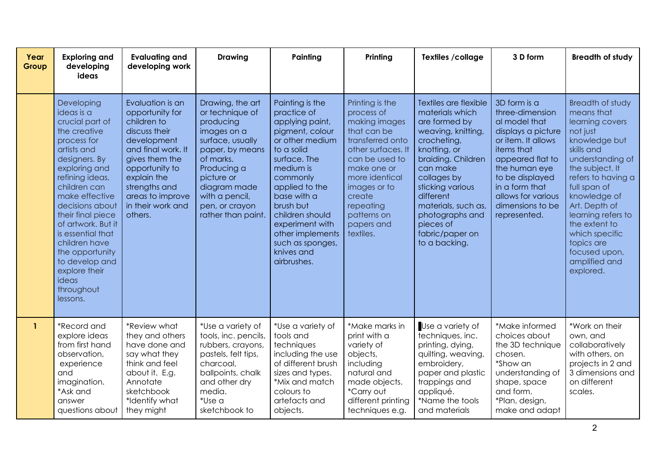| Year<br>Group | <b>Exploring and</b><br>developing<br>ideas                                                                                                                                                                                                                                                                                                                                   | <b>Evaluating and</b><br>developing work                                                                                                                                                                                         | <b>Drawing</b>                                                                                                                                                                                                             | Painting                                                                                                                                                                                                                                                                                                | Printing                                                                                                                                                                                                                                    | Textiles / collage                                                                                                                                                                                                                                                                          | 3 D form                                                                                                                                                                                                                                       | <b>Breadth of study</b>                                                                                                                                                                                                                                                                                                                 |
|---------------|-------------------------------------------------------------------------------------------------------------------------------------------------------------------------------------------------------------------------------------------------------------------------------------------------------------------------------------------------------------------------------|----------------------------------------------------------------------------------------------------------------------------------------------------------------------------------------------------------------------------------|----------------------------------------------------------------------------------------------------------------------------------------------------------------------------------------------------------------------------|---------------------------------------------------------------------------------------------------------------------------------------------------------------------------------------------------------------------------------------------------------------------------------------------------------|---------------------------------------------------------------------------------------------------------------------------------------------------------------------------------------------------------------------------------------------|---------------------------------------------------------------------------------------------------------------------------------------------------------------------------------------------------------------------------------------------------------------------------------------------|------------------------------------------------------------------------------------------------------------------------------------------------------------------------------------------------------------------------------------------------|-----------------------------------------------------------------------------------------------------------------------------------------------------------------------------------------------------------------------------------------------------------------------------------------------------------------------------------------|
|               | Developing<br>ideas is a<br>crucial part of<br>the creative<br>process for<br>artists and<br>designers. By<br>exploring and<br>refining ideas,<br>children can<br>make effective<br>decisions about<br>their final piece<br>of artwork. But it<br>is essential that<br>children have<br>the opportunity<br>to develop and<br>explore their<br>ideas<br>throughout<br>lessons. | Evaluation is an<br>opportunity for<br>children to<br>discuss their<br>development<br>and final work. It<br>gives them the<br>opportunity to<br>explain the<br>strengths and<br>areas to improve<br>in their work and<br>others. | Drawing, the art<br>or technique of<br>producing<br>images on a<br>surface, usually<br>paper, by means<br>of marks.<br>Producing a<br>picture or<br>diagram made<br>with a pencil,<br>pen, or crayon<br>rather than paint. | Painting is the<br>practice of<br>applying paint,<br>pigment, colour<br>or other medium<br>to a solid<br>surface. The<br>medium is<br>commonly<br>applied to the<br>base with a<br>brush but<br>children should<br>experiment with<br>other implements<br>such as sponges,<br>knives and<br>airbrushes. | Printing is the<br>process of<br>making images<br>that can be<br>transferred onto<br>other surfaces. It<br>can be used to<br>make one or<br>more identical<br>images or to<br>create<br>repeating<br>patterns on<br>papers and<br>textiles. | Textiles are flexible<br>materials which<br>are formed by<br>weaving, knitting,<br>crocheting,<br>knotting, or<br>braiding. Children<br>can make<br>collages by<br>sticking various<br>different<br>materials, such as,<br>photographs and<br>pieces of<br>fabric/paper on<br>to a backing. | 3D form is a<br>three-dimension<br>al model that<br>displays a picture<br>or item. It allows<br>items that<br>appeared flat to<br>the human eye<br>to be displayed<br>in a form that<br>allows for various<br>dimensions to be<br>represented. | <b>Breadth of study</b><br>means that<br>learning covers<br>not just<br>knowledge but<br>skills and<br>understanding of<br>the subject. It<br>refers to having a<br>full span of<br>knowledge of<br>Art. Depth of<br>learning refers to<br>the extent to<br>which specific<br>topics are<br>focused upon,<br>amplified and<br>explored. |
| $\mathbf{1}$  | *Record and<br>explore ideas<br>from first hand<br>observation,<br>experience<br>and<br>imagination.<br>*Ask and<br>answer<br>questions about                                                                                                                                                                                                                                 | *Review what<br>they and others<br>have done and<br>say what they<br>think and feel<br>about it. E.g.<br>Annotate<br>sketchbook<br>*Identify what<br>they might                                                                  | *Use a variety of<br>tools, inc. pencils,<br>rubbers, crayons,<br>pastels, felt tips,<br>charcoal,<br>ballpoints, chalk<br>and other dry<br>media.<br>*Use a<br>sketchbook to                                              | *Use a variety of<br>tools and<br>techniques<br>including the use<br>of different brush<br>sizes and types.<br>*Mix and match<br>colours to<br>artefacts and<br>objects.                                                                                                                                | *Make marks in<br>print with a<br>variety of<br>objects,<br>including<br>natural and<br>made objects.<br>*Carry out<br>different printing<br>techniques e.g.                                                                                | Use a variety of<br>techniques, inc.<br>printing, dying,<br>quilting, weaving,<br>embroidery,<br>paper and plastic<br>trappings and<br>appliqué.<br>*Name the tools<br>and materials                                                                                                        | *Make informed<br>choices about<br>the 3D technique<br>chosen.<br>*Show an<br>understanding of<br>shape, space<br>and form.<br>*Plan, design,<br>make and adapt                                                                                | *Work on their<br>own, and<br>collaboratively<br>with others, on<br>projects in 2 and<br>3 dimensions and<br>on different<br>scales.                                                                                                                                                                                                    |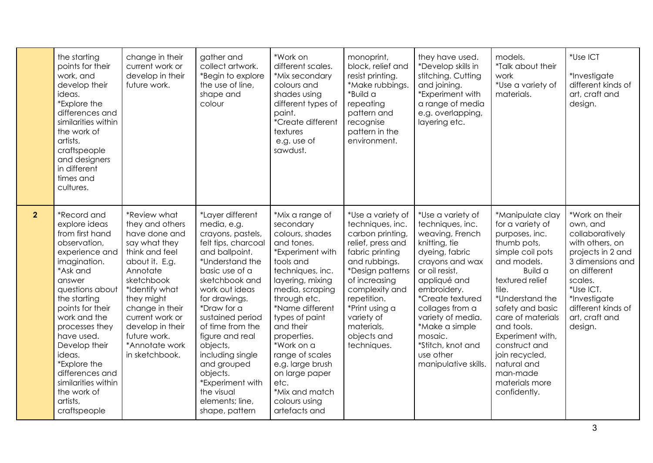|                | the starting<br>points for their<br>work, and<br>develop their<br>ideas.<br>*Explore the<br>differences and<br>similarities within<br>the work of<br>artists,<br>craftspeople<br>and designers<br>in different<br>times and<br>cultures.                                                                                                                       | change in their<br>current work or<br>develop in their<br>future work.                                                                                                                                                                                                        | gather and<br>collect artwork.<br>*Begin to explore<br>the use of line,<br>shape and<br>colour                                                                                                                                                                                                                                                                                                      | *Work on<br>different scales.<br>*Mix secondary<br>colours and<br>shades using<br>different types of<br>paint.<br>*Create different<br>textures<br>e.g. use of<br>sawdust.                                                                                                                                                                                                    | monoprint,<br>block, relief and<br>resist printing.<br>*Make rubbings.<br>*Build a<br>repeating<br>pattern and<br>recognise<br>pattern in the<br>environment.                                                                                                        | they have used.<br>*Develop skills in<br>stitching. Cutting<br>and joining.<br>*Experiment with<br>a range of media<br>e.g. overlapping,<br>layering etc.                                                                                                                                                          | models.<br>*Talk about their<br>work<br>*Use a variety of<br>materials.                                                                                                                                                                                                                                                                              | *Use ICT<br>*Investigate<br>different kinds of<br>art, craft and<br>design.                                                                                                                                          |
|----------------|----------------------------------------------------------------------------------------------------------------------------------------------------------------------------------------------------------------------------------------------------------------------------------------------------------------------------------------------------------------|-------------------------------------------------------------------------------------------------------------------------------------------------------------------------------------------------------------------------------------------------------------------------------|-----------------------------------------------------------------------------------------------------------------------------------------------------------------------------------------------------------------------------------------------------------------------------------------------------------------------------------------------------------------------------------------------------|-------------------------------------------------------------------------------------------------------------------------------------------------------------------------------------------------------------------------------------------------------------------------------------------------------------------------------------------------------------------------------|----------------------------------------------------------------------------------------------------------------------------------------------------------------------------------------------------------------------------------------------------------------------|--------------------------------------------------------------------------------------------------------------------------------------------------------------------------------------------------------------------------------------------------------------------------------------------------------------------|------------------------------------------------------------------------------------------------------------------------------------------------------------------------------------------------------------------------------------------------------------------------------------------------------------------------------------------------------|----------------------------------------------------------------------------------------------------------------------------------------------------------------------------------------------------------------------|
| 2 <sup>2</sup> | *Record and<br>explore ideas<br>from first hand<br>observation,<br>experience and<br>imagination.<br>*Ask and<br>answer<br>questions about<br>the starting<br>points for their<br>work and the<br>processes they<br>have used.<br>Develop their<br>ideas.<br>*Explore the<br>differences and<br>similarities within<br>the work of<br>artists,<br>craftspeople | *Review what<br>they and others<br>have done and<br>say what they<br>think and feel<br>about it. E.g.<br>Annotate<br>sketchbook<br>*Identify what<br>they might<br>change in their<br>current work or<br>develop in their<br>future work.<br>*Annotate work<br>in sketchbook. | *Layer different<br>media, e.g.<br>crayons, pastels,<br>felt tips, charcoal<br>and ballpoint.<br>*Understand the<br>basic use of a<br>sketchbook and<br>work out ideas<br>for drawings.<br>*Draw for a<br>sustained period<br>of time from the<br>figure and real<br>objects,<br>including single<br>and grouped<br>objects.<br>*Experiment with<br>the visual<br>elements; line,<br>shape, pattern | *Mix a range of<br>secondary<br>colours, shades<br>and tones.<br>*Experiment with<br>tools and<br>techniques, inc.<br>layering, mixing<br>media, scraping<br>through etc.<br>*Name different<br>types of paint<br>and their<br>properties.<br>*Work on a<br>range of scales<br>e.g. large brush<br>on large paper<br>etc.<br>*Mix and match<br>colours using<br>artefacts and | *Use a variety of<br>techniques, inc.<br>carbon printing,<br>relief, press and<br>fabric printing<br>and rubbings.<br>*Design patterns<br>of increasing<br>complexity and<br>repetition.<br>*Print using a<br>variety of<br>materials,<br>objects and<br>techniques. | *Use a variety of<br>techniques, inc.<br>weaving, French<br>knitting, tie<br>dyeing, fabric<br>crayons and wax<br>or oil resist,<br>appliqué and<br>embroidery.<br>*Create textured<br>collages from a<br>variety of media.<br>*Make a simple<br>mosaic.<br>*Stitch, knot and<br>use other<br>manipulative skills. | *Manipulate clay<br>for a variety of<br>purposes, inc.<br>thumb pots,<br>simple coil pots<br>and models.<br><b>Build a</b><br>textured relief<br>tile.<br>*Understand the<br>safety and basic<br>care of materials<br>and tools.<br>Experiment with,<br>construct and<br>join recycled,<br>natural and<br>man-made<br>materials more<br>confidently. | *Work on their<br>own, and<br>collaboratively<br>with others, on<br>projects in 2 and<br>3 dimensions and<br>on different<br>scales.<br>*Use ICT.<br>*Investigate<br>different kinds of<br>art, craft and<br>design. |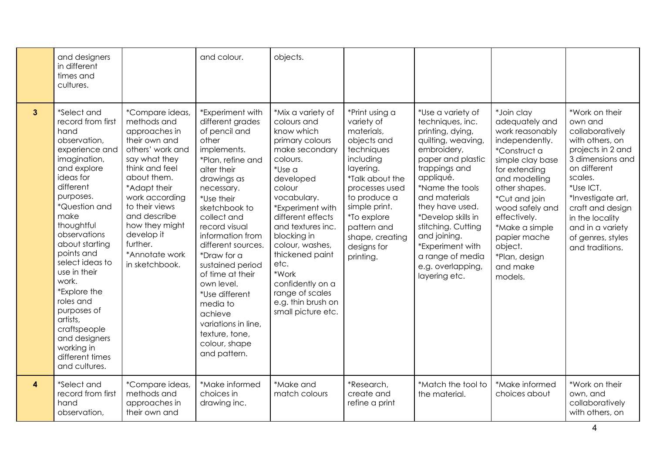|                         | and designers<br>in different<br>times and<br>cultures.                                                                                                                                                                                                                                                                                                                                                                        |                                                                                                                                                                                                                                                                                            | and colour.                                                                                                                                                                                                                                                                                                                                                                                                                                     | objects.                                                                                                                                                                                                                                                                                                                                                               |                                                                                                                                                                                                                                                      |                                                                                                                                                                                                                                                                                                                                                    |                                                                                                                                                                                                                                                                                                   |                                                                                                                                                                                                                                                                          |
|-------------------------|--------------------------------------------------------------------------------------------------------------------------------------------------------------------------------------------------------------------------------------------------------------------------------------------------------------------------------------------------------------------------------------------------------------------------------|--------------------------------------------------------------------------------------------------------------------------------------------------------------------------------------------------------------------------------------------------------------------------------------------|-------------------------------------------------------------------------------------------------------------------------------------------------------------------------------------------------------------------------------------------------------------------------------------------------------------------------------------------------------------------------------------------------------------------------------------------------|------------------------------------------------------------------------------------------------------------------------------------------------------------------------------------------------------------------------------------------------------------------------------------------------------------------------------------------------------------------------|------------------------------------------------------------------------------------------------------------------------------------------------------------------------------------------------------------------------------------------------------|----------------------------------------------------------------------------------------------------------------------------------------------------------------------------------------------------------------------------------------------------------------------------------------------------------------------------------------------------|---------------------------------------------------------------------------------------------------------------------------------------------------------------------------------------------------------------------------------------------------------------------------------------------------|--------------------------------------------------------------------------------------------------------------------------------------------------------------------------------------------------------------------------------------------------------------------------|
| $\mathbf{3}$            | *Select and<br>record from first<br>hand<br>observation,<br>experience and<br>imagination,<br>and explore<br>ideas for<br>different<br>purposes.<br>*Question and<br>make<br>thoughtful<br>observations<br>about starting<br>points and<br>select ideas to<br>use in their<br>work.<br>*Explore the<br>roles and<br>purposes of<br>artists,<br>craftspeople<br>and designers<br>working in<br>different times<br>and cultures. | *Compare ideas,<br>methods and<br>approaches in<br>their own and<br>others' work and<br>say what they<br>think and feel<br>about them.<br>*Adapt their<br>work according<br>to their views<br>and describe<br>how they might<br>develop it<br>further.<br>*Annotate work<br>in sketchbook. | *Experiment with<br>different grades<br>of pencil and<br>other<br>implements.<br>*Plan, refine and<br>alter their<br>drawings as<br>necessary.<br>*Use their<br>sketchbook to<br>collect and<br>record visual<br>information from<br>different sources.<br>*Draw for a<br>sustained period<br>of time at their<br>own level.<br>*Use different<br>media to<br>achieve<br>variations in line,<br>texture, tone,<br>colour, shape<br>and pattern. | *Mix a variety of<br>colours and<br>know which<br>primary colours<br>make secondary<br>colours.<br>*Use a<br>developed<br>colour<br>vocabulary.<br>*Experiment with<br>different effects<br>and textures inc.<br>blocking in<br>colour, washes,<br>thickened paint<br>etc.<br>*Work<br>confidently on a<br>range of scales<br>e.g. thin brush on<br>small picture etc. | *Print using a<br>variety of<br>materials,<br>objects and<br>techniques<br>including<br>layering.<br>*Talk about the<br>processes used<br>to produce a<br>simple print.<br>*To explore<br>pattern and<br>shape, creating<br>designs for<br>printing. | *Use a variety of<br>techniques, inc.<br>printing, dying,<br>quilting, weaving,<br>embroidery,<br>paper and plastic<br>trappings and<br>appliqué.<br>*Name the tools<br>and materials<br>they have used.<br>*Develop skills in<br>stitching. Cutting<br>and joining.<br>*Experiment with<br>a range of media<br>e.g. overlapping,<br>layering etc. | *Join clay<br>adequately and<br>work reasonably<br>independently.<br>*Construct a<br>simple clay base<br>for extending<br>and modelling<br>other shapes.<br>*Cut and join<br>wood safely and<br>effectively.<br>*Make a simple<br>papier mache<br>object.<br>*Plan, design<br>and make<br>models. | *Work on their<br>own and<br>collaboratively<br>with others, on<br>projects in 2 and<br>3 dimensions and<br>on different<br>scales.<br>*Use ICT.<br>*Investigate art,<br>craft and design<br>in the locality<br>and in a variety<br>of genres, styles<br>and traditions. |
| $\overline{\mathbf{4}}$ | *Select and<br>record from first<br>hand<br>observation,                                                                                                                                                                                                                                                                                                                                                                       | *Compare ideas,<br>methods and<br>approaches in<br>their own and                                                                                                                                                                                                                           | *Make informed<br>choices in<br>drawing inc.                                                                                                                                                                                                                                                                                                                                                                                                    | *Make and<br>match colours                                                                                                                                                                                                                                                                                                                                             | *Research,<br>create and<br>refine a print                                                                                                                                                                                                           | *Match the tool to<br>the material.                                                                                                                                                                                                                                                                                                                | *Make informed<br>choices about                                                                                                                                                                                                                                                                   | *Work on their<br>own, and<br>collaboratively<br>with others, on                                                                                                                                                                                                         |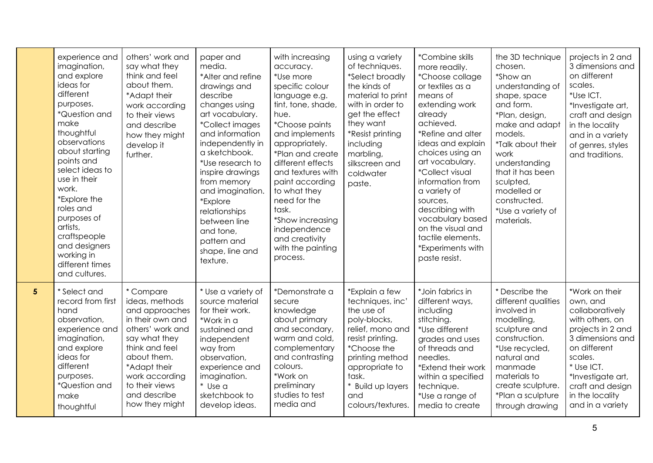|                 | experience and<br>imagination,<br>and explore<br>ideas for<br>different<br>purposes.<br>*Question and<br>make<br>thoughtful<br>observations<br>about starting<br>points and<br>select ideas to<br>use in their<br>work.<br>*Explore the<br>roles and<br>purposes of<br>artists, | others' work and<br>say what they<br>think and feel<br>about them.<br>*Adapt their<br>work according<br>to their views<br>and describe<br>how they might<br>develop it<br>further.                                            | paper and<br>media.<br>*Alter and refine<br>drawings and<br>describe<br>changes using<br>art vocabulary.<br><i>*Collect images</i><br>and information<br>independently in<br>a sketchbook.<br>*Use research to<br>inspire drawings<br>from memory<br>and imagination.<br>*Explore<br>relationships<br>between line<br>and tone, | with increasing<br>accuracy.<br>*Use more<br>specific colour<br>language e.g.<br>tint, tone, shade,<br>hue.<br><i>*Choose paints</i><br>and implements<br>appropriately.<br>*Plan and create<br>different effects<br>and textures with<br>paint according<br>to what they<br>need for the<br>task.<br>*Show increasing<br>independence | using a variety<br>of techniques.<br>*Select broadly<br>the kinds of<br>material to print<br>with in order to<br>get the effect<br>they want<br>*Resist printing<br>including<br>marbling,<br>silkscreen and<br>coldwater<br>paste. | *Combine skills<br>more readily.<br>*Choose collage<br>or textiles as a<br>means of<br>extending work<br>already<br>achieved.<br>*Refine and alter<br>ideas and explain<br>choices using an<br>art vocabulary.<br><i>*Collect visual</i><br>information from<br>a variety of<br>sources,<br>describing with<br>vocabulary based<br>on the visual and | the 3D technique<br>chosen.<br>*Show an<br>understanding of<br>shape, space<br>and form.<br>*Plan, design,<br>make and adapt<br>models.<br>*Talk about their<br>work<br>understanding<br>that it has been<br>sculpted,<br>modelled or<br>constructed.<br>*Use a variety of<br>materials. | projects in 2 and<br>3 dimensions and<br>on different<br>scales.<br>*Use ICT.<br>*Investigate art,<br>craft and design<br>in the locality<br>and in a variety<br>of genres, styles<br>and traditions.                              |
|-----------------|---------------------------------------------------------------------------------------------------------------------------------------------------------------------------------------------------------------------------------------------------------------------------------|-------------------------------------------------------------------------------------------------------------------------------------------------------------------------------------------------------------------------------|---------------------------------------------------------------------------------------------------------------------------------------------------------------------------------------------------------------------------------------------------------------------------------------------------------------------------------|----------------------------------------------------------------------------------------------------------------------------------------------------------------------------------------------------------------------------------------------------------------------------------------------------------------------------------------|-------------------------------------------------------------------------------------------------------------------------------------------------------------------------------------------------------------------------------------|------------------------------------------------------------------------------------------------------------------------------------------------------------------------------------------------------------------------------------------------------------------------------------------------------------------------------------------------------|------------------------------------------------------------------------------------------------------------------------------------------------------------------------------------------------------------------------------------------------------------------------------------------|------------------------------------------------------------------------------------------------------------------------------------------------------------------------------------------------------------------------------------|
| $5\phantom{.0}$ | craftspeople<br>and designers<br>working in<br>different times<br>and cultures.<br>* Select and<br>record from first<br>hand<br>observation,<br>experience and<br>imagination,<br>and explore<br>ideas for<br>different<br>purposes.<br>*Question and<br>make<br>thoughtful     | * Compare<br>ideas, methods<br>and approaches<br>in their own and<br>others' work and<br>say what they<br>think and feel<br>about them.<br>*Adapt their<br>work according<br>to their views<br>and describe<br>how they might | pattern and<br>shape, line and<br>texture.<br>* Use a variety of<br>source material<br>for their work.<br>*Work in a<br>sustained and<br>independent<br>way from<br>observation,<br>experience and<br>imagination.<br>* Use a<br>sketchbook to<br>develop ideas.                                                                | and creativity<br>with the painting<br>process.<br>*Demonstrate a<br>secure<br>knowledge<br>about primary<br>and secondary,<br>warm and cold,<br>complementary<br>and contrasting<br>colours.<br>*Work on<br>preliminary<br>studies to test<br>media and                                                                               | *Explain a few<br>techniques, inc'<br>the use of<br>poly-blocks,<br>relief, mono and<br>resist printing.<br>*Choose the<br>printing method<br>appropriate to<br>task.<br>* Build up layers<br>and<br>colours/textures.              | tactile elements.<br>*Experiments with<br>paste resist.<br>*Join fabrics in<br>different ways,<br>including<br>stitching.<br>*Use different<br>grades and uses<br>of threads and<br>needles.<br>*Extend their work<br>within a specified<br>technique.<br>*Use a range of<br>media to create                                                         | * Describe the<br>different qualities<br>involved in<br>modelling,<br>sculpture and<br>construction.<br>*Use recycled,<br>natural and<br>manmade<br>materials to<br>create sculpture.<br>*Plan a sculpture<br>through drawing                                                            | *Work on their<br>own, and<br>collaboratively<br>with others, on<br>projects in 2 and<br>3 dimensions and<br>on different<br>scales.<br>* Use ICT.<br>*Investigate art,<br>craft and design<br>in the locality<br>and in a variety |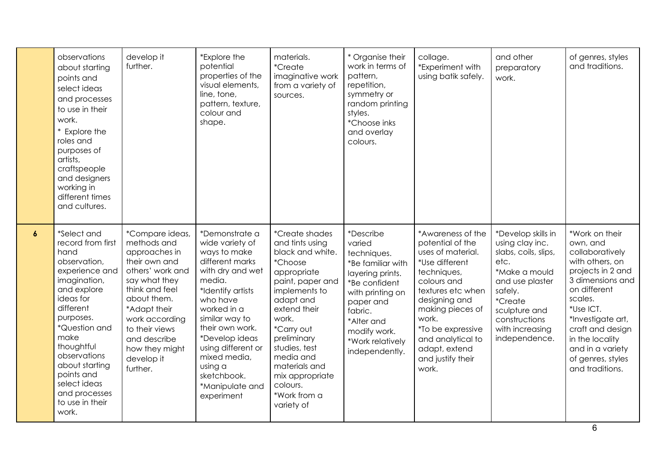|                  | observations<br>about starting<br>points and<br>select ideas<br>and processes<br>to use in their<br>work.<br>* Explore the<br>roles and<br>purposes of<br>artists,<br>craftspeople<br>and designers<br>working in<br>different times<br>and cultures.                                                | develop it<br>further.                                                                                                                                                                                                                                 | *Explore the<br>potential<br>properties of the<br>visual elements,<br>line, tone,<br>pattern, texture,<br>colour and<br>shape.                                                                                                                                                                             | materials.<br><i>*Create</i><br>imaginative work<br>from a variety of<br>sources.                                                                                                                                                                                                                          | * Organise their<br>work in terms of<br>pattern,<br>repetition,<br>symmetry or<br>random printing<br>styles.<br>*Choose inks<br>and overlay<br>colours.                                                      | collage.<br>*Experiment with<br>using batik safely.                                                                                                                                                                                                                    | and other<br>preparatory<br>work.                                                                                                                                                                            | of genres, styles<br>and traditions.                                                                                                                                                                                                                                      |
|------------------|------------------------------------------------------------------------------------------------------------------------------------------------------------------------------------------------------------------------------------------------------------------------------------------------------|--------------------------------------------------------------------------------------------------------------------------------------------------------------------------------------------------------------------------------------------------------|------------------------------------------------------------------------------------------------------------------------------------------------------------------------------------------------------------------------------------------------------------------------------------------------------------|------------------------------------------------------------------------------------------------------------------------------------------------------------------------------------------------------------------------------------------------------------------------------------------------------------|--------------------------------------------------------------------------------------------------------------------------------------------------------------------------------------------------------------|------------------------------------------------------------------------------------------------------------------------------------------------------------------------------------------------------------------------------------------------------------------------|--------------------------------------------------------------------------------------------------------------------------------------------------------------------------------------------------------------|---------------------------------------------------------------------------------------------------------------------------------------------------------------------------------------------------------------------------------------------------------------------------|
| $\boldsymbol{6}$ | *Select and<br>record from first<br>hand<br>observation,<br>experience and<br>imagination,<br>and explore<br>ideas for<br>different<br>purposes.<br>*Question and<br>make<br>thoughtful<br>observations<br>about starting<br>points and<br>select ideas<br>and processes<br>to use in their<br>work. | *Compare ideas,<br>methods and<br>approaches in<br>their own and<br>others' work and<br>say what they<br>think and feel<br>about them.<br>*Adapt their<br>work according<br>to their views<br>and describe<br>how they might<br>develop it<br>further. | *Demonstrate a<br>wide variety of<br>ways to make<br>different marks<br>with dry and wet<br>media.<br>*Identify artists<br>who have<br>worked in a<br>similar way to<br>their own work.<br>*Develop ideas<br>using different or<br>mixed media,<br>using a<br>sketchbook.<br>*Manipulate and<br>experiment | *Create shades<br>and tints using<br>black and white.<br><i>*Choose</i><br>appropriate<br>paint, paper and<br>implements to<br>adapt and<br>extend their<br>work.<br>*Carry out<br>preliminary<br>studies, test<br>media and<br>materials and<br>mix appropriate<br>colours.<br>*Work from a<br>variety of | *Describe<br>varied<br>techniques.<br>*Be familiar with<br>layering prints.<br>*Be confident<br>with printing on<br>paper and<br>fabric.<br>*Alter and<br>modify work.<br>*Work relatively<br>independently. | *Awareness of the<br>potential of the<br>uses of material.<br>*Use different<br>techniques,<br>colours and<br>textures etc when<br>designing and<br>making pieces of<br>work.<br>*To be expressive<br>and analytical to<br>adapt, extend<br>and justify their<br>work. | *Develop skills in<br>using clay inc.<br>slabs, coils, slips,<br>etc.<br>*Make a mould<br>and use plaster<br>safely.<br><i>*Create</i><br>sculpture and<br>constructions<br>with increasing<br>independence. | *Work on their<br>own, and<br>collaboratively<br>with others, on<br>projects in 2 and<br>3 dimensions and<br>on different<br>scales.<br>*Use ICT.<br>*Investigate art,<br>craft and design<br>in the locality<br>and in a variety<br>of genres, styles<br>and traditions. |